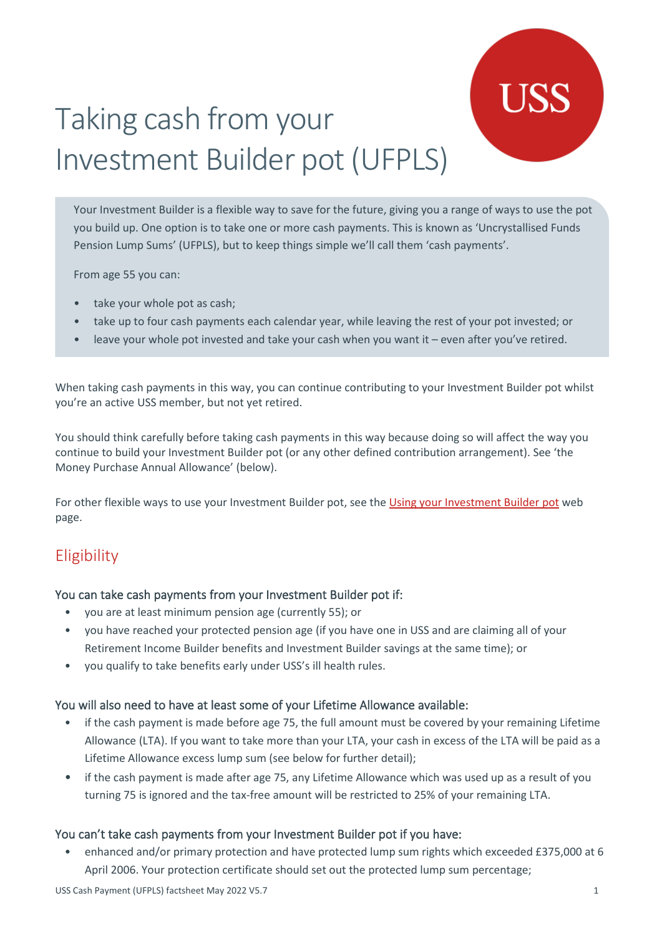# Taking cash from your Investment Builder pot (UFPLS)

Your Investment Builder is a flexible way to save for the future, giving you a range of ways to use the pot you build up. One option is to take one or more cash payments. This is known as 'Uncrystallised Funds Pension Lump Sums' (UFPLS), but to keep things simple we'll call them 'cash payments'.

From age 55 you can:

- take your whole pot as cash;
- take up to four cash payments each calendar year, while leaving the rest of your pot invested; or
- leave your whole pot invested and take your cash when you want it even after you've retired.

When taking cash payments in this way, you can continue contributing to your Investment Builder pot whilst you're an active USS member, but not yet retired.

You should think carefully before taking cash payments in this way because doing so will affect the way you continue to build your Investment Builder pot (or any other defined contribution arrangement). See 'the Money Purchase Annual Allowance' (below).

For other flexible ways to use your Investment Builder pot, see the [Using your Investment Builder pot](https://www.uss.co.uk/for-members/your-pension-explained/investment-builder/using-your-investment-builder-pot) web page.

### **Eligibility**

### You can take cash payments from your Investment Builder pot if:

- you are at least minimum pension age (currently 55); or
- you have reached your protected pension age (if you have one in USS and are claiming all of your Retirement Income Builder benefits and Investment Builder savings at the same time); or
- you qualify to take benefits early under USS's ill health rules.

### You will also need to have at least some of your Lifetime Allowance available:

- if the cash payment is made before age 75, the full amount must be covered by your remaining Lifetime Allowance (LTA). If you want to take more than your LTA, your cash in excess of the LTA will be paid as a Lifetime Allowance excess lump sum (see below for further detail);
- if the cash payment is made after age 75, any Lifetime Allowance which was used up as a result of you turning 75 is ignored and the tax-free amount will be restricted to 25% of your remaining LTA.

### You can't take cash payments from your Investment Builder pot if you have:

• enhanced and/or primary protection and have protected lump sum rights which exceeded £375,000 at 6 April 2006. Your protection certificate should set out the protected lump sum percentage;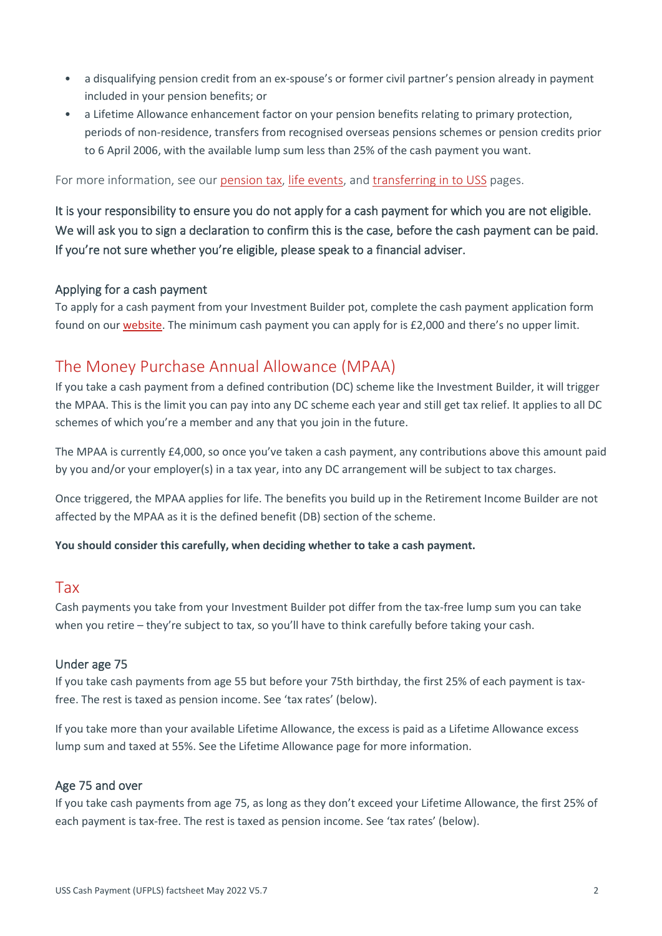- a disqualifying pension credit from an ex-spouse's or former civil partner's pension already in payment included in your pension benefits; or
- a Lifetime Allowance enhancement factor on your pension benefits relating to primary protection, periods of non-residence, transfers from recognised overseas pensions schemes or pension credits prior to 6 April 2006, with the available lump sum less than 25% of the cash payment you want.

For more information, see our [pension tax,](https://www.uss.co.uk/for-members/pension-tax) [life events,](https://www.uss.co.uk/for-members/life-events) and [transferring in to USS](https://www.uss.co.uk/for-members/your-pension-explained/transferring-in-to-uss) pages.

It is your responsibility to ensure you do not apply for a cash payment for which you are not eligible. We will ask you to sign a declaration to confirm this is the case, before the cash payment can be paid. If you're not sure whether you're eligible, please speak to a financial adviser.

### Applying for a cash payment

To apply for a cash payment from your Investment Builder pot, complete the cash payment application form found on ou[r website.](https://www.uss.co.uk/for-members/your-pension-explained/taking-your-benefits-and-savings) The minimum cash payment you can apply for is £2,000 and there's no upper limit.

### The Money Purchase Annual Allowance (MPAA)

If you take a cash payment from a defined contribution (DC) scheme like the Investment Builder, it will trigger the MPAA. This is the limit you can pay into any DC scheme each year and still get tax relief. It applies to all DC schemes of which you're a member and any that you join in the future.

The MPAA is currently £4,000, so once you've taken a cash payment, any contributions above this amount paid by you and/or your employer(s) in a tax year, into any DC arrangement will be subject to tax charges.

Once triggered, the MPAA applies for life. The benefits you build up in the Retirement Income Builder are not affected by the MPAA as it is the defined benefit (DB) section of the scheme.

### **You should consider this carefully, when deciding whether to take a cash payment.**

### Tax

Cash payments you take from your Investment Builder pot differ from the tax-free lump sum you can take when you retire – they're subject to tax, so you'll have to think carefully before taking your cash.

### Under age 75

If you take cash payments from age 55 but before your 75th birthday, the first 25% of each payment is taxfree. The rest is taxed as pension income. See 'tax rates' (below).

If you take more than your available Lifetime Allowance, the excess is paid as a Lifetime Allowance excess lump sum and taxed at 55%. See the Lifetime Allowance page for more information.

### Age 75 and over

If you take cash payments from age 75, as long as they don't exceed your Lifetime Allowance, the first 25% of each payment is tax-free. The rest is taxed as pension income. See 'tax rates' (below).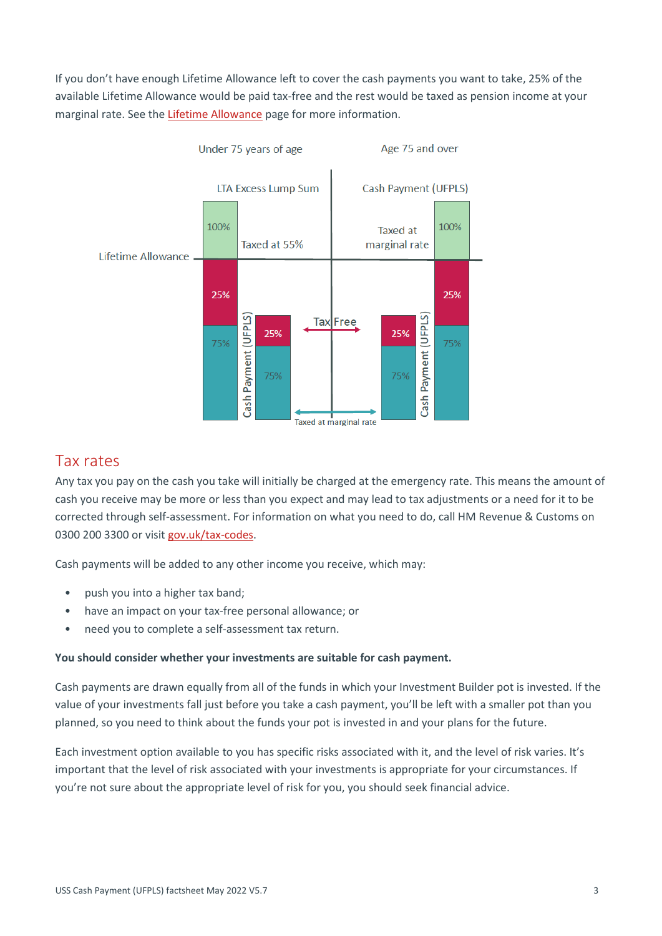If you don't have enough Lifetime Allowance left to cover the cash payments you want to take, 25% of the available Lifetime Allowance would be paid tax-free and the rest would be taxed as pension income at your marginal rate. See th[e Lifetime Allowance](https://www.uss.co.uk/for-members/pension-tax/lifetime-allowance#:%7E:text=The%20Lifetime%20Allowance%20(LTA)%20is,some%20of%20your%20Lifetime%20Allowance.) page for more information.



### Tax rates

Any tax you pay on the cash you take will initially be charged at the emergency rate. This means the amount of cash you receive may be more or less than you expect and may lead to tax adjustments or a need for it to be corrected through self-assessment. For information on what you need to do, call HM Revenue & Customs on 0300 200 3300 or visit [gov.uk/tax-codes.](https://www.gov.uk/tax-codes)

Cash payments will be added to any other income you receive, which may:

- push you into a higher tax band;
- have an impact on your tax-free personal allowance; or
- need you to complete a self-assessment tax return.

### **You should consider whether your investments are suitable for cash payment.**

Cash payments are drawn equally from all of the funds in which your Investment Builder pot is invested. If the value of your investments fall just before you take a cash payment, you'll be left with a smaller pot than you planned, so you need to think about the funds your pot is invested in and your plans for the future.

Each investment option available to you has specific risks associated with it, and the level of risk varies. It's important that the level of risk associated with your investments is appropriate for your circumstances. If you're not sure about the appropriate level of risk for you, you should seek financial advice.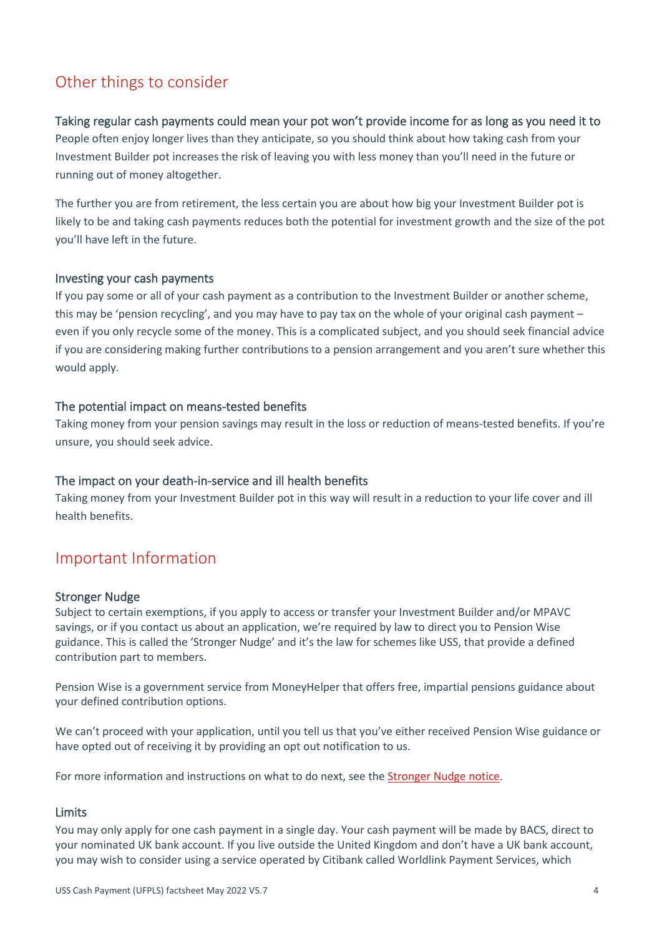## Other things to consider

### Taking regular cash payments could mean your pot won't provide income for as long as you need it to

People often enjoy longer lives than they anticipate, so you should think about how taking cash from your Investment Builder pot increases the risk of leaving you with less money than you'll need in the future or running out of money altogether.

The further you are from retirement, the less certain you are about how big your Investment Builder pot is likely to be and taking cash payments reduces both the potential for investment growth and the size of the pot you'll have left in the future.

### Investing your cash payments

If you pay some or all of your cash payment as a contribution to the Investment Builder or another scheme, this may be 'pension recycling', and you may have to pay tax on the whole of your original cash payment – even if you only recycle some of the money. This is a complicated subject, and you should seek financial advice if you are considering making further contributions to a pension arrangement and you aren't sure whether this would apply.

### The potential impact on means-tested benefits

Taking money from your pension savings may result in the loss or reduction of means-tested benefits. If you're unsure, you should seek advice.

### The impact on your death-in-service and ill health benefits

Taking money from your Investment Builder pot in this way will result in a reduction to your life cover and ill health benefits.

### Important Information

### Stronger Nudge

Subject to certain exemptions, if you apply to access or transfer your Investment Builder and/or MPAVC savings, or if you contact us about an application, we're required by law to direct you to Pension Wise guidance. This is called the 'Stronger Nudge' and it's the law for schemes like USS, that provide a defined contribution part to members.

Pension Wise is a government service from MoneyHelper that offers free, impartial pensions guidance about your defined contribution options.

We can't proceed with your application, until you tell us that you've either received Pension Wise guidance or have opted out of receiving it by providing an opt out notification to us.

For more information and instructions on what to do next, see the [Stronger Nudge notice.](https://www.uss.co.uk/for-members/stronger-nudge) 

### Limits

You may only apply for one cash payment in a single day. Your cash payment will be made by BACS, direct to your nominated UK bank account. If you live outside the United Kingdom and don't have a UK bank account, you may wish to consider using a service operated by Citibank called Worldlink Payment Services, which